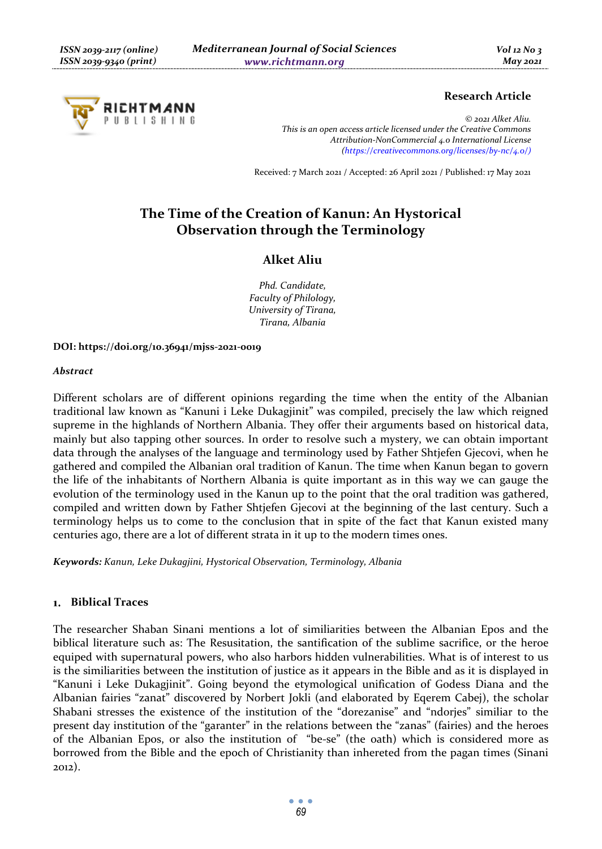

# **Research Article**

*© 2021 Alket Aliu. This is an open access article licensed under the Creative Commons Attribution-NonCommercial 4.0 International License (https://creativecommons.org/licenses/by-nc/4.0/)*

Received: 7 March 2021 / Accepted: 26 April 2021 / Published: 17 May 2021

# **The Time of the Creation of Kanun: An Hystorical Observation through the Terminology**

# **Alket Aliu**

*Phd. Candidate, Faculty of Philology, University of Tirana, Tirana, Albania* 

**DOI: https://doi.org/10.36941/mjss-2021-0019** 

## *Abstract*

Different scholars are of different opinions regarding the time when the entity of the Albanian traditional law known as "Kanuni i Leke Dukagjinit" was compiled, precisely the law which reigned supreme in the highlands of Northern Albania. They offer their arguments based on historical data, mainly but also tapping other sources. In order to resolve such a mystery, we can obtain important data through the analyses of the language and terminology used by Father Shtjefen Gjecovi, when he gathered and compiled the Albanian oral tradition of Kanun. The time when Kanun began to govern the life of the inhabitants of Northern Albania is quite important as in this way we can gauge the evolution of the terminology used in the Kanun up to the point that the oral tradition was gathered, compiled and written down by Father Shtjefen Gjecovi at the beginning of the last century. Such a terminology helps us to come to the conclusion that in spite of the fact that Kanun existed many centuries ago, there are a lot of different strata in it up to the modern times ones.

*Keywords: Kanun, Leke Dukagjini, Hystorical Observation, Terminology, Albania* 

#### **Biblical Traces**   $1.1$

The researcher Shaban Sinani mentions a lot of similiarities between the Albanian Epos and the biblical literature such as: The Resusitation, the santification of the sublime sacrifice, or the heroe equiped with supernatural powers, who also harbors hidden vulnerabilities. What is of interest to us is the similiarities between the institution of justice as it appears in the Bible and as it is displayed in "Kanuni i Leke Dukagjinit". Going beyond the etymological unification of Godess Diana and the Albanian fairies "zanat" discovered by Norbert Jokli (and elaborated by Eqerem Cabej), the scholar Shabani stresses the existence of the institution of the "dorezanise" and "ndorjes" similiar to the present day institution of the "garanter" in the relations between the "zanas" (fairies) and the heroes of the Albanian Epos, or also the institution of "be-se" (the oath) which is considered more as borrowed from the Bible and the epoch of Christianity than inhereted from the pagan times (Sinani 2012).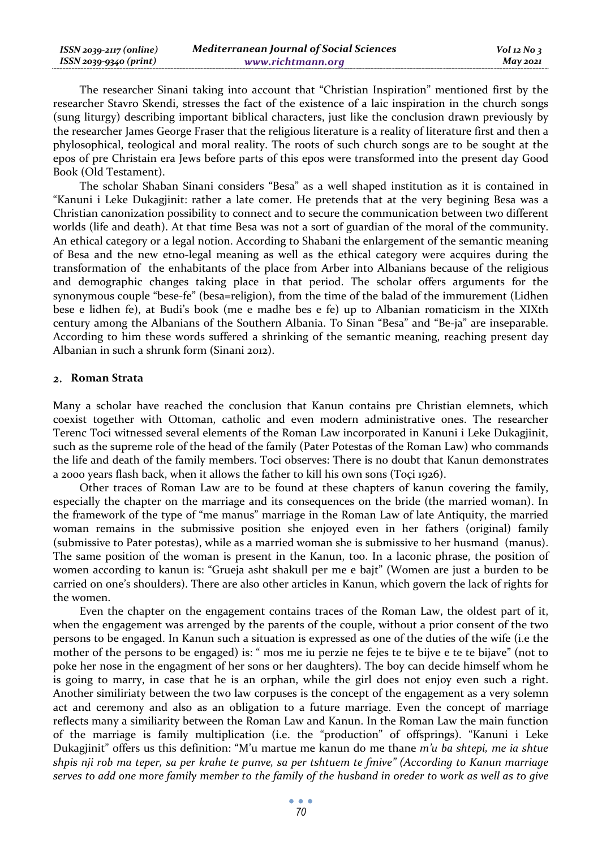| $ISSN 2039-2117 (online)$ | <b>Mediterranean Journal of Social Sciences</b> | $Vol$ 12 No 3 |
|---------------------------|-------------------------------------------------|---------------|
| ISSN 2039-9340 (print)    | www.richtmann.org                               | $M$ ay 2021   |

The researcher Sinani taking into account that "Christian Inspiration" mentioned first by the researcher Stavro Skendi, stresses the fact of the existence of a laic inspiration in the church songs (sung liturgy) describing important biblical characters, just like the conclusion drawn previously by the researcher James George Fraser that the religious literature is a reality of literature first and then a phylosophical, teological and moral reality. The roots of such church songs are to be sought at the epos of pre Christain era Jews before parts of this epos were transformed into the present day Good Book (Old Testament).

The scholar Shaban Sinani considers "Besa" as a well shaped institution as it is contained in "Kanuni i Leke Dukagjinit: rather a late comer. He pretends that at the very begining Besa was a Christian canonization possibility to connect and to secure the communication between two different worlds (life and death). At that time Besa was not a sort of guardian of the moral of the community. An ethical category or a legal notion. According to Shabani the enlargement of the semantic meaning of Besa and the new etno-legal meaning as well as the ethical category were acquires during the transformation of the enhabitants of the place from Arber into Albanians because of the religious and demographic changes taking place in that period. The scholar offers arguments for the synonymous couple "bese-fe" (besa=religion), from the time of the balad of the immurement (Lidhen bese e lidhen fe), at Budi's book (me e madhe bes e fe) up to Albanian romaticism in the XIXth century among the Albanians of the Southern Albania. To Sinan "Besa" and "Be-ja" are inseparable. According to him these words suffered a shrinking of the semantic meaning, reaching present day Albanian in such a shrunk form (Sinani 2012).

# **Roman Strata**

Many a scholar have reached the conclusion that Kanun contains pre Christian elemnets, which coexist together with Ottoman, catholic and even modern administrative ones. The researcher Terenc Toci witnessed several elements of the Roman Law incorporated in Kanuni i Leke Dukagjinit, such as the supreme role of the head of the family (Pater Potestas of the Roman Law) who commands the life and death of the family members. Toci observes: There is no doubt that Kanun demonstrates a 2000 years flash back, when it allows the father to kill his own sons (Toçi 1926).

Other traces of Roman Law are to be found at these chapters of kanun covering the family, especially the chapter on the marriage and its consequences on the bride (the married woman). In the framework of the type of "me manus" marriage in the Roman Law of late Antiquity, the married woman remains in the submissive position she enjoyed even in her fathers (original) family (submissive to Pater potestas), while as a married woman she is submissive to her husmand (manus). The same position of the woman is present in the Kanun, too. In a laconic phrase, the position of women according to kanun is: "Grueja asht shakull per me e bajt" (Women are just a burden to be carried on one's shoulders). There are also other articles in Kanun, which govern the lack of rights for the women.

Even the chapter on the engagement contains traces of the Roman Law, the oldest part of it, when the engagement was arrenged by the parents of the couple, without a prior consent of the two persons to be engaged. In Kanun such a situation is expressed as one of the duties of the wife (i.e the mother of the persons to be engaged) is: " mos me iu perzie ne fejes te te bijve e te te bijave" (not to poke her nose in the engagment of her sons or her daughters). The boy can decide himself whom he is going to marry, in case that he is an orphan, while the girl does not enjoy even such a right. Another similiriaty between the two law corpuses is the concept of the engagement as a very solemn act and ceremony and also as an obligation to a future marriage. Even the concept of marriage reflects many a similiarity between the Roman Law and Kanun. In the Roman Law the main function of the marriage is family multiplication (i.e. the "production" of offsprings). "Kanuni i Leke Dukagjinit" offers us this definition: "M'u martue me kanun do me thane *m'u ba shtepi, me ia shtue shpis nji rob ma teper, sa per krahe te punve, sa per tshtuem te fmive" (According to Kanun marriage serves to add one more family member to the family of the husband in oreder to work as well as to give*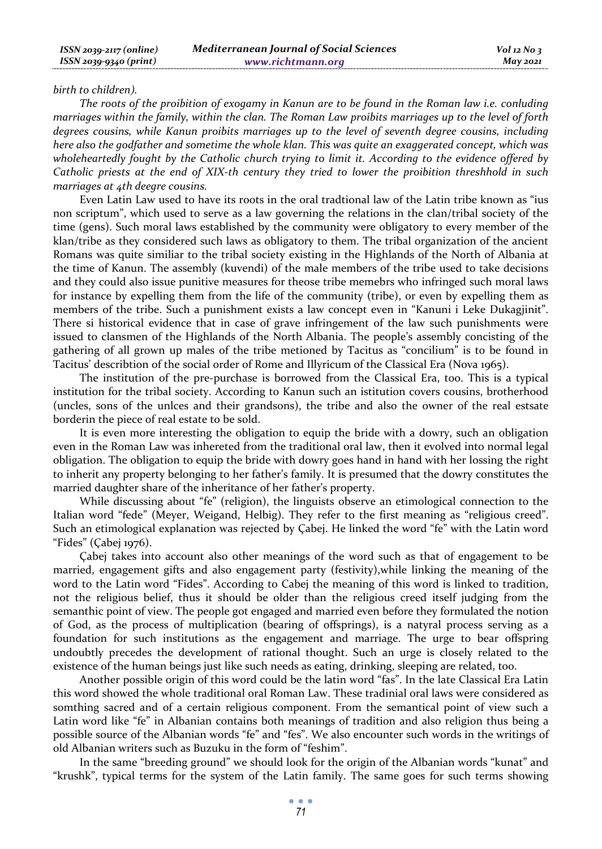#### *birth to children).*

*The roots of the proibition of exogamy in Kanun are to be found in the Roman law i.e. conluding marriages within the family, within the clan. The Roman Law proibits marriages up to the level of forth degrees cousins, while Kanun proibits marriages up to the level of seventh degree cousins, including here also the godfather and sometime the whole klan. This was quite an exaggerated concept, which was wholeheartedly fought by the Catholic church trying to limit it. According to the evidence offered by Catholic priests at the end of XIX-th century they tried to lower the proibition threshhold in such marriages at 4th deegre cousins.* 

Even Latin Law used to have its roots in the oral tradtional law of the Latin tribe known as "ius non scriptum", which used to serve as a law governing the relations in the clan/tribal society of the time (gens). Such moral laws established by the community were obligatory to every member of the klan/tribe as they considered such laws as obligatory to them. The tribal organization of the ancient Romans was quite similiar to the tribal society existing in the Highlands of the North of Albania at the time of Kanun. The assembly (kuvendi) of the male members of the tribe used to take decisions and they could also issue punitive measures for theose tribe memebrs who infringed such moral laws for instance by expelling them from the life of the community (tribe), or even by expelling them as members of the tribe. Such a punishment exists a law concept even in "Kanuni i Leke Dukagjinit". There si historical evidence that in case of grave infringement of the law such punishments were issued to clansmen of the Highlands of the North Albania. The people's assembly concisting of the gathering of all grown up males of the tribe metioned by Tacitus as "concilium" is to be found in Tacitus' describtion of the social order of Rome and Illyricum of the Classical Era (Nova 1965).

The institution of the pre-purchase is borrowed from the Classical Era, too. This is a typical institution for the tribal society. According to Kanun such an istitution covers cousins, brotherhood (uncles, sons of the unlces and their grandsons), the tribe and also the owner of the real estsate borderin the piece of real estate to be sold.

It is even more interesting the obligation to equip the bride with a dowry, such an obligation even in the Roman Law was inhereted from the traditional oral law, then it evolved into normal legal obligation. The obligation to equip the bride with dowry goes hand in hand with her lossing the right to inherit any property belonging to her father's family. It is presumed that the dowry constitutes the married daughter share of the inheritance of her father's property.

While discussing about "fe" (religion), the linguists observe an etimological connection to the Italian word "fede" (Meyer, Weigand, Helbig). They refer to the first meaning as "religious creed". Such an etimological explanation was rejected by Çabej. He linked the word "fe" with the Latin word "Fides" (Çabej 1976).

Çabej takes into account also other meanings of the word such as that of engagement to be married, engagement gifts and also engagement party (festivity),while linking the meaning of the word to the Latin word "Fides". According to Cabej the meaning of this word is linked to tradition, not the religious belief, thus it should be older than the religious creed itself judging from the semanthic point of view. The people got engaged and married even before they formulated the notion of God, as the process of multiplication (bearing of offsprings), is a natyral process serving as a foundation for such institutions as the engagement and marriage. The urge to bear offspring undoubtly precedes the development of rational thought. Such an urge is closely related to the existence of the human beings just like such needs as eating, drinking, sleeping are related, too.

Another possible origin of this word could be the latin word "fas". In the late Classical Era Latin this word showed the whole traditional oral Roman Law. These tradinial oral laws were considered as somthing sacred and of a certain religious component. From the semantical point of view such a Latin word like "fe" in Albanian contains both meanings of tradition and also religion thus being a possible source of the Albanian words "fe" and "fes". We also encounter such words in the writings of old Albanian writers such as Buzuku in the form of "feshim".

In the same "breeding ground" we should look for the origin of the Albanian words "kunat" and "krushk", typical terms for the system of the Latin family. The same goes for such terms showing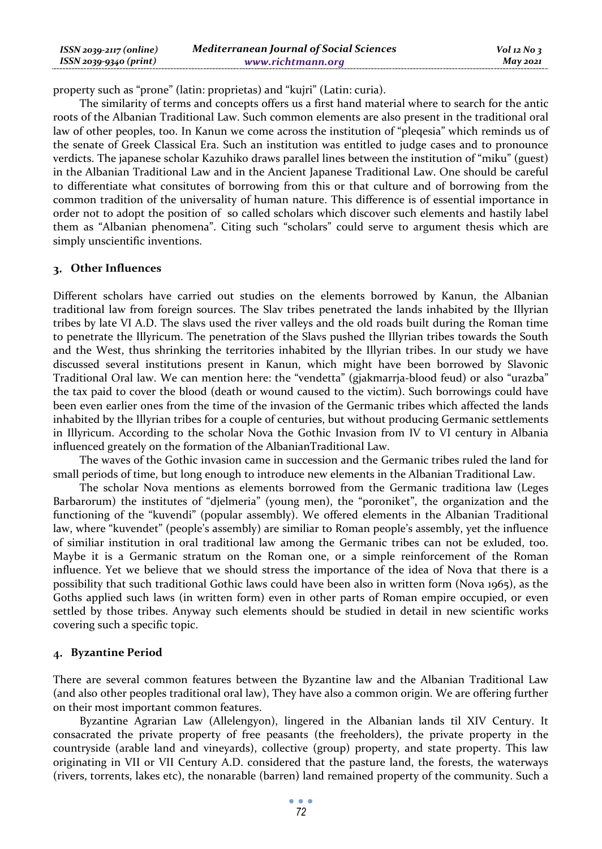| ISSN 2039-2117 (online) | <b>Mediterranean Journal of Social Sciences</b> | $Vol$ 12 No 3 |
|-------------------------|-------------------------------------------------|---------------|
| ISSN 2039-9340 (print)  | www.richtmann.org                               | May 2021      |

property such as "prone" (latin: proprietas) and "kujri" (Latin: curia).

The similarity of terms and concepts offers us a first hand material where to search for the antic roots of the Albanian Traditional Law. Such common elements are also present in the traditional oral law of other peoples, too. In Kanun we come across the institution of "pleqesia" which reminds us of the senate of Greek Classical Era. Such an institution was entitled to judge cases and to pronounce verdicts. The japanese scholar Kazuhiko draws parallel lines between the institution of "miku" (guest) in the Albanian Traditional Law and in the Ancient Japanese Traditional Law. One should be careful to differentiate what consitutes of borrowing from this or that culture and of borrowing from the common tradition of the universality of human nature. This difference is of essential importance in order not to adopt the position of so called scholars which discover such elements and hastily label them as "Albanian phenomena". Citing such "scholars" could serve to argument thesis which are simply unscientific inventions.

# **Other Influences**

Different scholars have carried out studies on the elements borrowed by Kanun, the Albanian traditional law from foreign sources. The Slav tribes penetrated the lands inhabited by the Illyrian tribes by late VI A.D. The slavs used the river valleys and the old roads built during the Roman time to penetrate the Illyricum. The penetration of the Slavs pushed the Illyrian tribes towards the South and the West, thus shrinking the territories inhabited by the Illyrian tribes. In our study we have discussed several institutions present in Kanun, which might have been borrowed by Slavonic Traditional Oral law. We can mention here: the "vendetta" (gjakmarrja-blood feud) or also "urazba" the tax paid to cover the blood (death or wound caused to the victim). Such borrowings could have been even earlier ones from the time of the invasion of the Germanic tribes which affected the lands inhabited by the Illyrian tribes for a couple of centuries, but without producing Germanic settlements in Illyricum. According to the scholar Nova the Gothic Invasion from IV to VI century in Albania influenced greately on the formation of the AlbanianTraditional Law.

The waves of the Gothic invasion came in succession and the Germanic tribes ruled the land for small periods of time, but long enough to introduce new elements in the Albanian Traditional Law.

The scholar Nova mentions as elements borrowed from the Germanic traditiona law (Leges Barbarorum) the institutes of "djelmeria" (young men), the "poroniket", the organization and the functioning of the "kuvendi" (popular assembly). We offered elements in the Albanian Traditional law, where "kuvendet" (people's assembly) are similiar to Roman people's assembly, yet the influence of similiar institution in oral traditional law among the Germanic tribes can not be exluded, too. Maybe it is a Germanic stratum on the Roman one, or a simple reinforcement of the Roman influence. Yet we believe that we should stress the importance of the idea of Nova that there is a possibility that such traditional Gothic laws could have been also in written form (Nova 1965), as the Goths applied such laws (in written form) even in other parts of Roman empire occupied, or even settled by those tribes. Anyway such elements should be studied in detail in new scientific works covering such a specific topic.

# **Byzantine Period**

There are several common features between the Byzantine law and the Albanian Traditional Law (and also other peoples traditional oral law), They have also a common origin. We are offering further on their most important common features.

Byzantine Agrarian Law (Allelengyon), lingered in the Albanian lands til XIV Century. It consacrated the private property of free peasants (the freeholders), the private property in the countryside (arable land and vineyards), collective (group) property, and state property. This law originating in VII or VII Century A.D. considered that the pasture land, the forests, the waterways (rivers, torrents, lakes etc), the nonarable (barren) land remained property of the community. Such a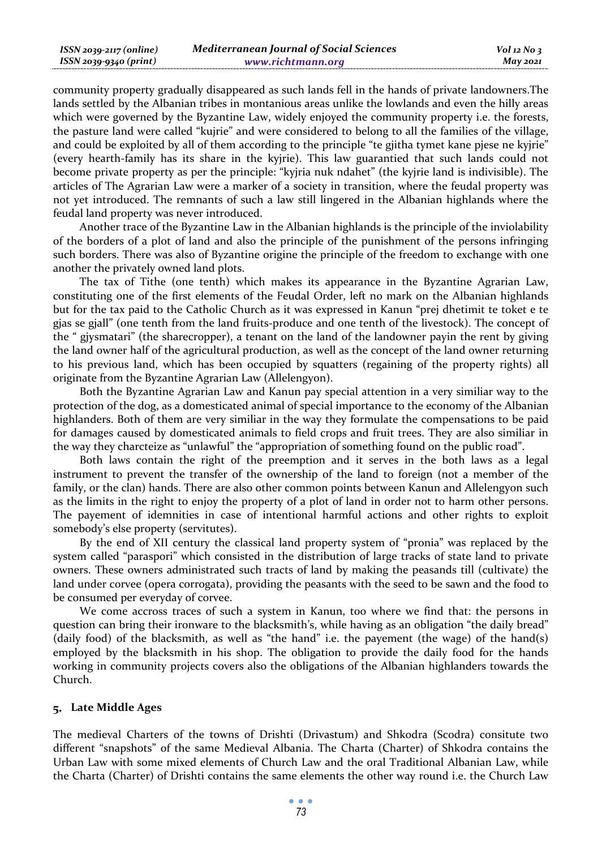| ISSN 2039-2117 (online) | <b>Mediterranean Journal of Social Sciences</b> | $Vol$ 12 No 3   |
|-------------------------|-------------------------------------------------|-----------------|
| ISSN 2039-9340 (print)  | www.richtmann.org                               | <b>May 2021</b> |

community property gradually disappeared as such lands fell in the hands of private landowners.The lands settled by the Albanian tribes in montanious areas unlike the lowlands and even the hilly areas which were governed by the Byzantine Law, widely enjoyed the community property i.e. the forests, the pasture land were called "kujrie" and were considered to belong to all the families of the village, and could be exploited by all of them according to the principle "te gjitha tymet kane pjese ne kyjrie" (every hearth-family has its share in the kyjrie). This law guarantied that such lands could not become private property as per the principle: "kyjria nuk ndahet" (the kyjrie land is indivisible). The articles of The Agrarian Law were a marker of a society in transition, where the feudal property was not yet introduced. The remnants of such a law still lingered in the Albanian highlands where the feudal land property was never introduced.

Another trace of the Byzantine Law in the Albanian highlands is the principle of the inviolability of the borders of a plot of land and also the principle of the punishment of the persons infringing such borders. There was also of Byzantine origine the principle of the freedom to exchange with one another the privately owned land plots.

The tax of Tithe (one tenth) which makes its appearance in the Byzantine Agrarian Law, constituting one of the first elements of the Feudal Order, left no mark on the Albanian highlands but for the tax paid to the Catholic Church as it was expressed in Kanun "prej dhetimit te toket e te gjas se gjall" (one tenth from the land fruits-produce and one tenth of the livestock). The concept of the " gjysmatari" (the sharecropper), a tenant on the land of the landowner payin the rent by giving the land owner half of the agricultural production, as well as the concept of the land owner returning to his previous land, which has been occupied by squatters (regaining of the property rights) all originate from the Byzantine Agrarian Law (Allelengyon).

Both the Byzantine Agrarian Law and Kanun pay special attention in a very similiar way to the protection of the dog, as a domesticated animal of special importance to the economy of the Albanian highlanders. Both of them are very similiar in the way they formulate the compensations to be paid for damages caused by domesticated animals to field crops and fruit trees. They are also similiar in the way they charcteize as "unlawful" the "appropriation of something found on the public road".

Both laws contain the right of the preemption and it serves in the both laws as a legal instrument to prevent the transfer of the ownership of the land to foreign (not a member of the family, or the clan) hands. There are also other common points between Kanun and Allelengyon such as the limits in the right to enjoy the property of a plot of land in order not to harm other persons. The payement of idemnities in case of intentional harmful actions and other rights to exploit somebody's else property (servitutes).

By the end of XII century the classical land property system of "pronia" was replaced by the system called "paraspori" which consisted in the distribution of large tracks of state land to private owners. These owners administrated such tracts of land by making the peasands till (cultivate) the land under corvee (opera corrogata), providing the peasants with the seed to be sawn and the food to be consumed per everyday of corvee.

We come accross traces of such a system in Kanun, too where we find that: the persons in question can bring their ironware to the blacksmith's, while having as an obligation "the daily bread" (daily food) of the blacksmith, as well as "the hand" i.e. the payement (the wage) of the hand(s) employed by the blacksmith in his shop. The obligation to provide the daily food for the hands working in community projects covers also the obligations of the Albanian highlanders towards the Church.

# **Late Middle Ages**

The medieval Charters of the towns of Drishti (Drivastum) and Shkodra (Scodra) consitute two different "snapshots" of the same Medieval Albania. The Charta (Charter) of Shkodra contains the Urban Law with some mixed elements of Church Law and the oral Traditional Albanian Law, while the Charta (Charter) of Drishti contains the same elements the other way round i.e. the Church Law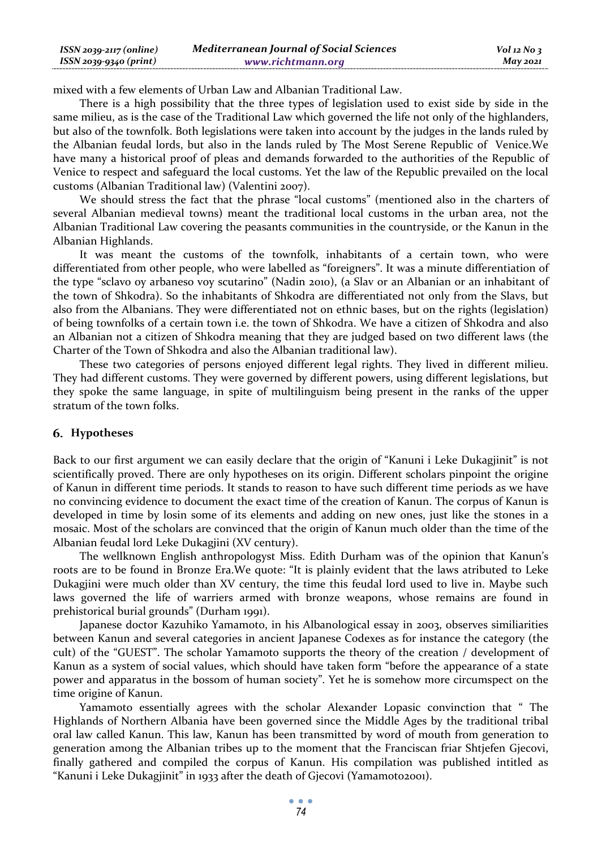| ISSN 2039-2117 (online) | <b>Mediterranean Journal of Social Sciences</b> | $Vol$ 12 No 3   |
|-------------------------|-------------------------------------------------|-----------------|
| ISSN 2039-9340 (print)  | www.richtmann.org                               | <b>May 2021</b> |

mixed with a few elements of Urban Law and Albanian Traditional Law.

There is a high possibility that the three types of legislation used to exist side by side in the same milieu, as is the case of the Traditional Law which governed the life not only of the highlanders, but also of the townfolk. Both legislations were taken into account by the judges in the lands ruled by the Albanian feudal lords, but also in the lands ruled by The Most Serene Republic of Venice.We have many a historical proof of pleas and demands forwarded to the authorities of the Republic of Venice to respect and safeguard the local customs. Yet the law of the Republic prevailed on the local customs (Albanian Traditional law) (Valentini 2007).

We should stress the fact that the phrase "local customs" (mentioned also in the charters of several Albanian medieval towns) meant the traditional local customs in the urban area, not the Albanian Traditional Law covering the peasants communities in the countryside, or the Kanun in the Albanian Highlands.

It was meant the customs of the townfolk, inhabitants of a certain town, who were differentiated from other people, who were labelled as "foreigners". It was a minute differentiation of the type "sclavo oy arbaneso voy scutarino" (Nadin 2010), (a Slav or an Albanian or an inhabitant of the town of Shkodra). So the inhabitants of Shkodra are differentiated not only from the Slavs, but also from the Albanians. They were differentiated not on ethnic bases, but on the rights (legislation) of being townfolks of a certain town i.e. the town of Shkodra. We have a citizen of Shkodra and also an Albanian not a citizen of Shkodra meaning that they are judged based on two different laws (the Charter of the Town of Shkodra and also the Albanian traditional law).

These two categories of persons enjoyed different legal rights. They lived in different milieu. They had different customs. They were governed by different powers, using different legislations, but they spoke the same language, in spite of multilinguism being present in the ranks of the upper stratum of the town folks.

#### **Hypotheses**

Back to our first argument we can easily declare that the origin of "Kanuni i Leke Dukagjinit" is not scientifically proved. There are only hypotheses on its origin. Different scholars pinpoint the origine of Kanun in different time periods. It stands to reason to have such different time periods as we have no convincing evidence to document the exact time of the creation of Kanun. The corpus of Kanun is developed in time by losin some of its elements and adding on new ones, just like the stones in a mosaic. Most of the scholars are convinced that the origin of Kanun much older than the time of the Albanian feudal lord Leke Dukagjini (XV century).

The wellknown English anthropologyst Miss. Edith Durham was of the opinion that Kanun's roots are to be found in Bronze Era.We quote: "It is plainly evident that the laws atributed to Leke Dukagjini were much older than XV century, the time this feudal lord used to live in. Maybe such laws governed the life of warriers armed with bronze weapons, whose remains are found in prehistorical burial grounds" (Durham 1991).

Japanese doctor Kazuhiko Yamamoto, in his Albanological essay in 2003, observes similiarities between Kanun and several categories in ancient Japanese Codexes as for instance the category (the cult) of the "GUEST". The scholar Yamamoto supports the theory of the creation / development of Kanun as a system of social values, which should have taken form "before the appearance of a state power and apparatus in the bossom of human society". Yet he is somehow more circumspect on the time origine of Kanun.

Yamamoto essentially agrees with the scholar Alexander Lopasic convinction that " The Highlands of Northern Albania have been governed since the Middle Ages by the traditional tribal oral law called Kanun. This law, Kanun has been transmitted by word of mouth from generation to generation among the Albanian tribes up to the moment that the Franciscan friar Shtjefen Gjecovi, finally gathered and compiled the corpus of Kanun. His compilation was published intitled as "Kanuni i Leke Dukagjinit" in 1933 after the death of Gjecovi (Yamamoto2001).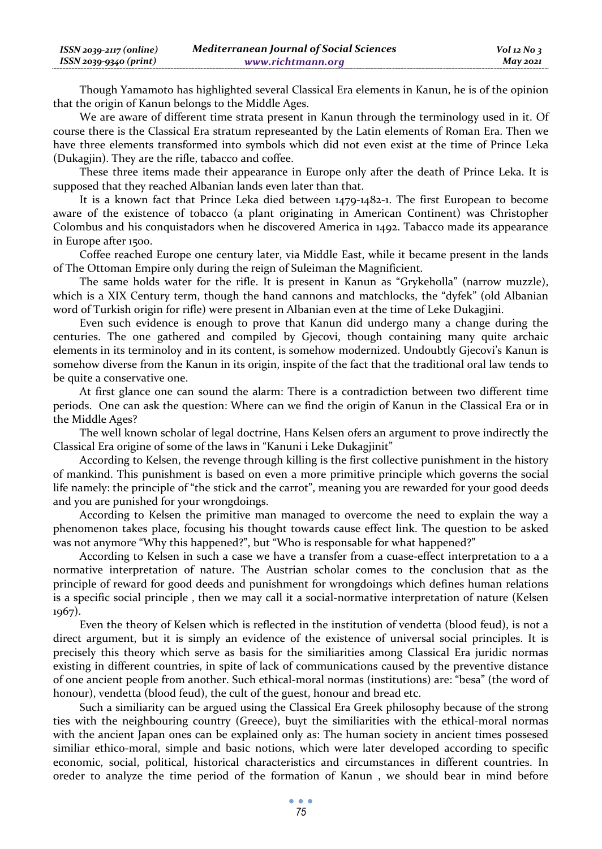| ISSN 2039-2117 (online) | <b>Mediterranean Journal of Social Sciences</b> | $Vol$ 12 No 3   |
|-------------------------|-------------------------------------------------|-----------------|
| ISSN 2039-9340 (print)  | www.richtmann.org                               | <b>May 2021</b> |

Though Yamamoto has highlighted several Classical Era elements in Kanun, he is of the opinion that the origin of Kanun belongs to the Middle Ages.

We are aware of different time strata present in Kanun through the terminology used in it. Of course there is the Classical Era stratum represeanted by the Latin elements of Roman Era. Then we have three elements transformed into symbols which did not even exist at the time of Prince Leka (Dukagjin). They are the rifle, tabacco and coffee.

These three items made their appearance in Europe only after the death of Prince Leka. It is supposed that they reached Albanian lands even later than that.

It is a known fact that Prince Leka died between 1479-1482-1. The first European to become aware of the existence of tobacco (a plant originating in American Continent) was Christopher Colombus and his conquistadors when he discovered America in 1492. Tabacco made its appearance in Europe after 1500.

Coffee reached Europe one century later, via Middle East, while it became present in the lands of The Ottoman Empire only during the reign of Suleiman the Magnificient.

The same holds water for the rifle. It is present in Kanun as "Grykeholla" (narrow muzzle), which is a XIX Century term, though the hand cannons and matchlocks, the "dyfek" (old Albanian word of Turkish origin for rifle) were present in Albanian even at the time of Leke Dukagjini.

Even such evidence is enough to prove that Kanun did undergo many a change during the centuries. The one gathered and compiled by Gjecovi, though containing many quite archaic elements in its terminoloy and in its content, is somehow modernized. Undoubtly Gjecovi's Kanun is somehow diverse from the Kanun in its origin, inspite of the fact that the traditional oral law tends to be quite a conservative one.

At first glance one can sound the alarm: There is a contradiction between two different time periods. One can ask the question: Where can we find the origin of Kanun in the Classical Era or in the Middle Ages?

The well known scholar of legal doctrine, Hans Kelsen ofers an argument to prove indirectly the Classical Era origine of some of the laws in "Kanuni i Leke Dukagjinit"

According to Kelsen, the revenge through killing is the first collective punishment in the history of mankind. This punishment is based on even a more primitive principle which governs the social life namely: the principle of "the stick and the carrot", meaning you are rewarded for your good deeds and you are punished for your wrongdoings.

According to Kelsen the primitive man managed to overcome the need to explain the way a phenomenon takes place, focusing his thought towards cause effect link. The question to be asked was not anymore "Why this happened?", but "Who is responsable for what happened?"

According to Kelsen in such a case we have a transfer from a cuase-effect interpretation to a a normative interpretation of nature. The Austrian scholar comes to the conclusion that as the principle of reward for good deeds and punishment for wrongdoings which defines human relations is a specific social principle , then we may call it a social-normative interpretation of nature (Kelsen 1967).

Even the theory of Kelsen which is reflected in the institution of vendetta (blood feud), is not a direct argument, but it is simply an evidence of the existence of universal social principles. It is precisely this theory which serve as basis for the similiarities among Classical Era juridic normas existing in different countries, in spite of lack of communications caused by the preventive distance of one ancient people from another. Such ethical-moral normas (institutions) are: "besa" (the word of honour), vendetta (blood feud), the cult of the guest, honour and bread etc.

Such a similiarity can be argued using the Classical Era Greek philosophy because of the strong ties with the neighbouring country (Greece), buyt the similiarities with the ethical-moral normas with the ancient Japan ones can be explained only as: The human society in ancient times possesed similiar ethico-moral, simple and basic notions, which were later developed according to specific economic, social, political, historical characteristics and circumstances in different countries. In oreder to analyze the time period of the formation of Kanun , we should bear in mind before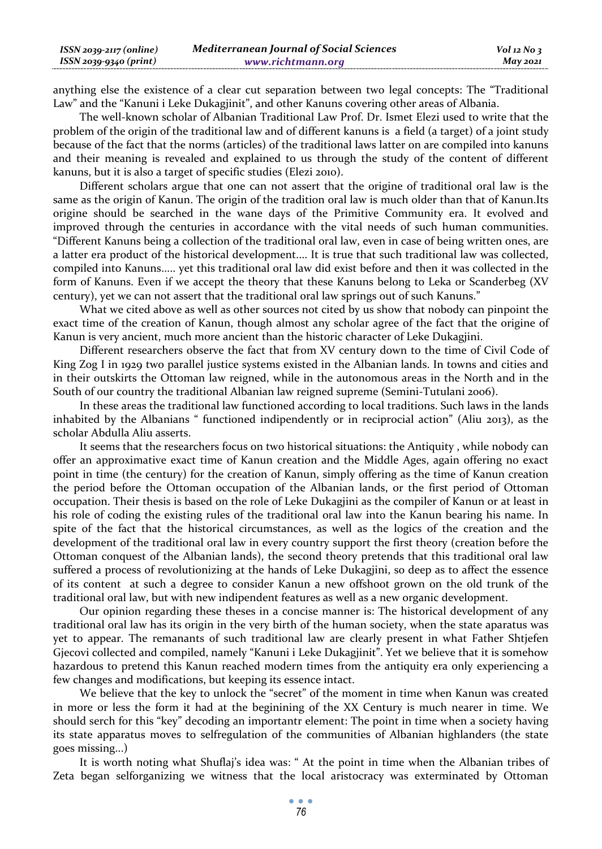| ISSN 2039-2117 (online) | <b>Mediterranean Journal of Social Sciences</b> | $Vol$ 12 No 3   |
|-------------------------|-------------------------------------------------|-----------------|
| ISSN 2039-9340 (print)  | www.richtmann.org                               | <b>May 2021</b> |

anything else the existence of a clear cut separation between two legal concepts: The "Traditional Law" and the "Kanuni i Leke Dukagjinit", and other Kanuns covering other areas of Albania.

The well-known scholar of Albanian Traditional Law Prof. Dr. Ismet Elezi used to write that the problem of the origin of the traditional law and of different kanuns is a field (a target) of a joint study because of the fact that the norms (articles) of the traditional laws latter on are compiled into kanuns and their meaning is revealed and explained to us through the study of the content of different kanuns, but it is also a target of specific studies (Elezi 2010).

Different scholars argue that one can not assert that the origine of traditional oral law is the same as the origin of Kanun. The origin of the tradition oral law is much older than that of Kanun.Its origine should be searched in the wane days of the Primitive Community era. It evolved and improved through the centuries in accordance with the vital needs of such human communities. "Different Kanuns being a collection of the traditional oral law, even in case of being written ones, are a latter era product of the historical development.... It is true that such traditional law was collected, compiled into Kanuns..... yet this traditional oral law did exist before and then it was collected in the form of Kanuns. Even if we accept the theory that these Kanuns belong to Leka or Scanderbeg (XV century), yet we can not assert that the traditional oral law springs out of such Kanuns."

What we cited above as well as other sources not cited by us show that nobody can pinpoint the exact time of the creation of Kanun, though almost any scholar agree of the fact that the origine of Kanun is very ancient, much more ancient than the historic character of Leke Dukagjini.

Different researchers observe the fact that from XV century down to the time of Civil Code of King Zog I in 1929 two parallel justice systems existed in the Albanian lands. In towns and cities and in their outskirts the Ottoman law reigned, while in the autonomous areas in the North and in the South of our country the traditional Albanian law reigned supreme (Semini-Tutulani 2006).

In these areas the traditional law functioned according to local traditions. Such laws in the lands inhabited by the Albanians " functioned indipendently or in reciprocial action" (Aliu 2013), as the scholar Abdulla Aliu asserts.

It seems that the researchers focus on two historical situations: the Antiquity , while nobody can offer an approximative exact time of Kanun creation and the Middle Ages, again offering no exact point in time (the century) for the creation of Kanun, simply offering as the time of Kanun creation the period before the Ottoman occupation of the Albanian lands, or the first period of Ottoman occupation. Their thesis is based on the role of Leke Dukagjini as the compiler of Kanun or at least in his role of coding the existing rules of the traditional oral law into the Kanun bearing his name. In spite of the fact that the historical circumstances, as well as the logics of the creation and the development of the traditional oral law in every country support the first theory (creation before the Ottoman conquest of the Albanian lands), the second theory pretends that this traditional oral law suffered a process of revolutionizing at the hands of Leke Dukagjini, so deep as to affect the essence of its content at such a degree to consider Kanun a new offshoot grown on the old trunk of the traditional oral law, but with new indipendent features as well as a new organic development.

Our opinion regarding these theses in a concise manner is: The historical development of any traditional oral law has its origin in the very birth of the human society, when the state aparatus was yet to appear. The remanants of such traditional law are clearly present in what Father Shtjefen Gjecovi collected and compiled, namely "Kanuni i Leke Dukagjinit". Yet we believe that it is somehow hazardous to pretend this Kanun reached modern times from the antiquity era only experiencing a few changes and modifications, but keeping its essence intact.

We believe that the key to unlock the "secret" of the moment in time when Kanun was created in more or less the form it had at the beginining of the XX Century is much nearer in time. We should serch for this "key" decoding an importantr element: The point in time when a society having its state apparatus moves to selfregulation of the communities of Albanian highlanders (the state goes missing...)

It is worth noting what Shuflaj's idea was: " At the point in time when the Albanian tribes of Zeta began selforganizing we witness that the local aristocracy was exterminated by Ottoman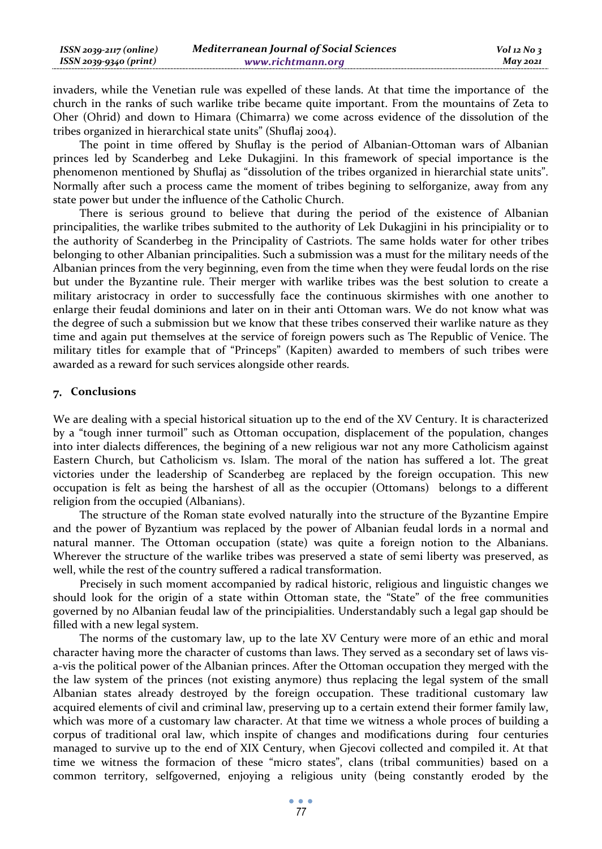| $ISSN 2039-2117 (online)$ | <b>Mediterranean Journal of Social Sciences</b> | $Vol$ 12 No 3   |
|---------------------------|-------------------------------------------------|-----------------|
| ISSN 2039-9340 (print)    | www.richtmann.org                               | <b>May 2021</b> |

invaders, while the Venetian rule was expelled of these lands. At that time the importance of the church in the ranks of such warlike tribe became quite important. From the mountains of Zeta to Oher (Ohrid) and down to Himara (Chimarra) we come across evidence of the dissolution of the tribes organized in hierarchical state units" (Shuflaj 2004).

The point in time offered by Shuflay is the period of Albanian-Ottoman wars of Albanian princes led by Scanderbeg and Leke Dukagjini. In this framework of special importance is the phenomenon mentioned by Shuflaj as "dissolution of the tribes organized in hierarchial state units". Normally after such a process came the moment of tribes begining to selforganize, away from any state power but under the influence of the Catholic Church.

There is serious ground to believe that during the period of the existence of Albanian principalities, the warlike tribes submited to the authority of Lek Dukagjini in his principiality or to the authority of Scanderbeg in the Principality of Castriots. The same holds water for other tribes belonging to other Albanian principalities. Such a submission was a must for the military needs of the Albanian princes from the very beginning, even from the time when they were feudal lords on the rise but under the Byzantine rule. Their merger with warlike tribes was the best solution to create a military aristocracy in order to successfully face the continuous skirmishes with one another to enlarge their feudal dominions and later on in their anti Ottoman wars. We do not know what was the degree of such a submission but we know that these tribes conserved their warlike nature as they time and again put themselves at the service of foreign powers such as The Republic of Venice. The military titles for example that of "Princeps" (Kapiten) awarded to members of such tribes were awarded as a reward for such services alongside other reards.

## **Conclusions**

We are dealing with a special historical situation up to the end of the XV Century. It is characterized by a "tough inner turmoil" such as Ottoman occupation, displacement of the population, changes into inter dialects differences, the begining of a new religious war not any more Catholicism against Eastern Church, but Catholicism vs. Islam. The moral of the nation has suffered a lot. The great victories under the leadership of Scanderbeg are replaced by the foreign occupation. This new occupation is felt as being the harshest of all as the occupier (Ottomans) belongs to a different religion from the occupied (Albanians).

The structure of the Roman state evolved naturally into the structure of the Byzantine Empire and the power of Byzantium was replaced by the power of Albanian feudal lords in a normal and natural manner. The Ottoman occupation (state) was quite a foreign notion to the Albanians. Wherever the structure of the warlike tribes was preserved a state of semi liberty was preserved, as well, while the rest of the country suffered a radical transformation.

Precisely in such moment accompanied by radical historic, religious and linguistic changes we should look for the origin of a state within Ottoman state, the "State" of the free communities governed by no Albanian feudal law of the principialities. Understandably such a legal gap should be filled with a new legal system.

The norms of the customary law, up to the late XV Century were more of an ethic and moral character having more the character of customs than laws. They served as a secondary set of laws visa-vis the political power of the Albanian princes. After the Ottoman occupation they merged with the the law system of the princes (not existing anymore) thus replacing the legal system of the small Albanian states already destroyed by the foreign occupation. These traditional customary law acquired elements of civil and criminal law, preserving up to a certain extend their former family law, which was more of a customary law character. At that time we witness a whole proces of building a corpus of traditional oral law, which inspite of changes and modifications during four centuries managed to survive up to the end of XIX Century, when Gjecovi collected and compiled it. At that time we witness the formacion of these "micro states", clans (tribal communities) based on a common territory, selfgoverned, enjoying a religious unity (being constantly eroded by the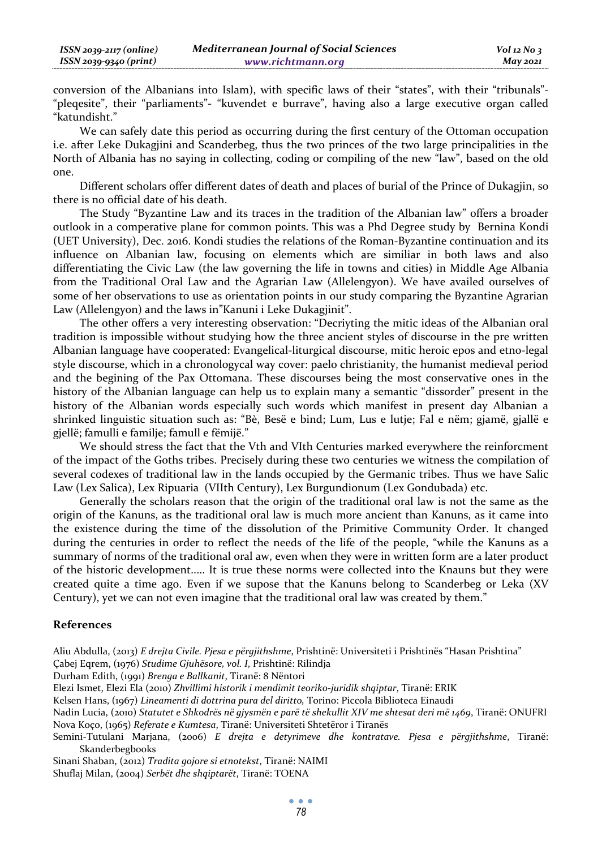| ISSN 2039-2117 (online) | <b>Mediterranean Journal of Social Sciences</b> | $Vol$ 12 No 3   |
|-------------------------|-------------------------------------------------|-----------------|
| ISSN 2039-9340 (print)  | www.richtmann.org                               | <b>May 2021</b> |

conversion of the Albanians into Islam), with specific laws of their "states", with their "tribunals"- "pleqesite", their "parliaments"- "kuvendet e burrave", having also a large executive organ called "katundisht."

We can safely date this period as occurring during the first century of the Ottoman occupation i.e. after Leke Dukagjini and Scanderbeg, thus the two princes of the two large principalities in the North of Albania has no saying in collecting, coding or compiling of the new "law", based on the old one.

Different scholars offer different dates of death and places of burial of the Prince of Dukagjin, so there is no official date of his death.

The Study "Byzantine Law and its traces in the tradition of the Albanian law" offers a broader outlook in a comperative plane for common points. This was a Phd Degree study by Bernina Kondi (UET University), Dec. 2016. Kondi studies the relations of the Roman-Byzantine continuation and its influence on Albanian law, focusing on elements which are similiar in both laws and also differentiating the Civic Law (the law governing the life in towns and cities) in Middle Age Albania from the Traditional Oral Law and the Agrarian Law (Allelengyon). We have availed ourselves of some of her observations to use as orientation points in our study comparing the Byzantine Agrarian Law (Allelengyon) and the laws in"Kanuni i Leke Dukagjinit".

The other offers a very interesting observation: "Decriyting the mitic ideas of the Albanian oral tradition is impossible without studying how the three ancient styles of discourse in the pre written Albanian language have cooperated: Evangelical-liturgical discourse, mitic heroic epos and etno-legal style discourse, which in a chronologycal way cover: paelo christianity, the humanist medieval period and the begining of the Pax Ottomana. These discourses being the most conservative ones in the history of the Albanian language can help us to explain many a semantic "dissorder" present in the history of the Albanian words especially such words which manifest in present day Albanian a shrinked linguistic situation such as: "Bè, Besë e bind; Lum, Lus e lutje; Fal e nëm; gjamë, gjallë e gjellë; famulli e familje; famull e fëmijë."

We should stress the fact that the Vth and VIth Centuries marked everywhere the reinforcment of the impact of the Goths tribes. Precisely during these two centuries we witness the compilation of several codexes of traditional law in the lands occupied by the Germanic tribes. Thus we have Salic Law (Lex Salica), Lex Ripuaria (VIIth Century), Lex Burgundionum (Lex Gondubada) etc.

Generally the scholars reason that the origin of the traditional oral law is not the same as the origin of the Kanuns, as the traditional oral law is much more ancient than Kanuns, as it came into the existence during the time of the dissolution of the Primitive Community Order. It changed during the centuries in order to reflect the needs of the life of the people, "while the Kanuns as a summary of norms of the traditional oral aw, even when they were in written form are a later product of the historic development..... It is true these norms were collected into the Knauns but they were created quite a time ago. Even if we supose that the Kanuns belong to Scanderbeg or Leka (XV Century), yet we can not even imagine that the traditional oral law was created by them."

#### **References**

Aliu Abdulla, (2013) *E drejta Civile. Pjesa e përgjithshme*, Prishtinë: Universiteti i Prishtinёs "Hasan Prishtina"

Çabej Eqrem, (1976) *Studime Gjuhësore, vol. I*, Prishtinë: Rilindja

Durham Edith, (1991) *Brenga e Ballkanit*, Tiranë: 8 Nëntori

Elezi Ismet, Elezi Ela (2010) *Zhvillimi historik i mendimit teoriko-juridik shqiptar*, Tiranë: ERIK

Kelsen Hans, (1967) *Lineamenti di dottrina pura del diritto,* Torino: Piccola Biblioteca Einaudi

Nadin Lucia, (2010) *Statutet e Shkodrës në gjysmën e parë të shekullit XIV me shtesat deri më 1469*, Tiranë: ONUFRI Nova Koço, (1965) *Referate e Kumtesa*, Tiranë: Universiteti Shtetëror i Tiranës

Semini-Tutulani Marjana, (2006) *E drejta e detyrimeve dhe kontratave. Pjesa e përgjithshme*, Tiranë: Skanderbegbooks

Sinani Shaban, (2012) *Tradita gojore si etnotekst*, Tiranë: NAIMI

Shuflaj Milan, (2004) *Serbët dhe shqiptarët*, Tiranë: TOENA